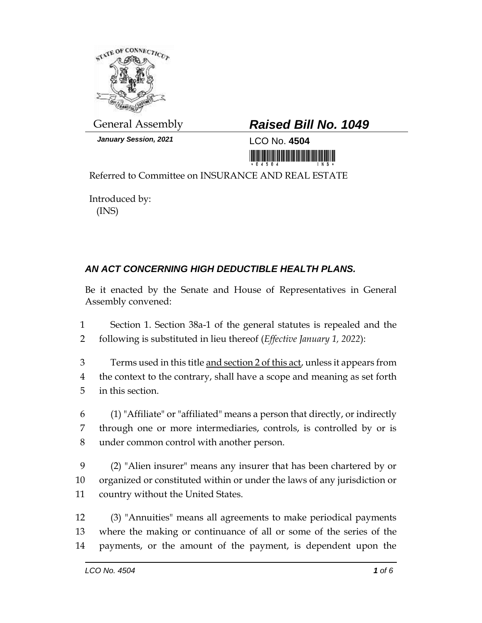

*January Session, 2021* LCO No. **4504**

## General Assembly *Raised Bill No. 1049*

<u> III maarta ka mid ah in mid ah in mid ah in mid ah in mid ah in mid ah in mid ah in mid ah in mid ah in mid a</u>

Referred to Committee on INSURANCE AND REAL ESTATE

Introduced by: (INS)

## *AN ACT CONCERNING HIGH DEDUCTIBLE HEALTH PLANS.*

Be it enacted by the Senate and House of Representatives in General Assembly convened:

1 Section 1. Section 38a-1 of the general statutes is repealed and the 2 following is substituted in lieu thereof (*Effective January 1, 2022*):

3 Terms used in this title and section 2 of this act, unless it appears from 4 the context to the contrary, shall have a scope and meaning as set forth 5 in this section.

6 (1) "Affiliate" or "affiliated" means a person that directly, or indirectly 7 through one or more intermediaries, controls, is controlled by or is 8 under common control with another person.

9 (2) "Alien insurer" means any insurer that has been chartered by or 10 organized or constituted within or under the laws of any jurisdiction or 11 country without the United States.

12 (3) "Annuities" means all agreements to make periodical payments 13 where the making or continuance of all or some of the series of the 14 payments, or the amount of the payment, is dependent upon the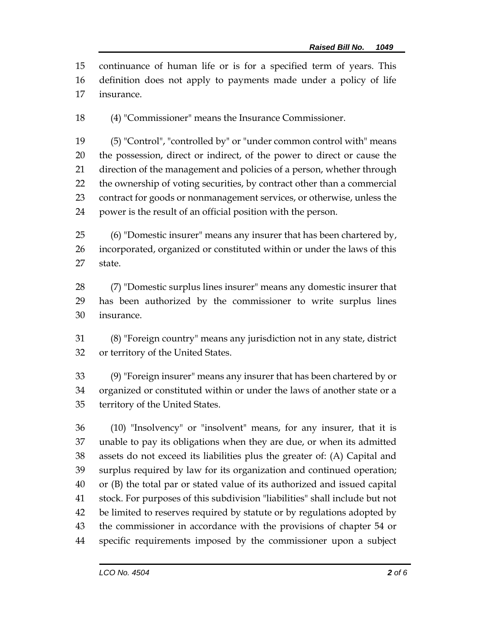continuance of human life or is for a specified term of years. This definition does not apply to payments made under a policy of life insurance.

(4) "Commissioner" means the Insurance Commissioner.

 (5) "Control", "controlled by" or "under common control with" means the possession, direct or indirect, of the power to direct or cause the direction of the management and policies of a person, whether through the ownership of voting securities, by contract other than a commercial contract for goods or nonmanagement services, or otherwise, unless the power is the result of an official position with the person.

 (6) "Domestic insurer" means any insurer that has been chartered by, incorporated, organized or constituted within or under the laws of this state.

 (7) "Domestic surplus lines insurer" means any domestic insurer that has been authorized by the commissioner to write surplus lines insurance.

 (8) "Foreign country" means any jurisdiction not in any state, district or territory of the United States.

 (9) "Foreign insurer" means any insurer that has been chartered by or organized or constituted within or under the laws of another state or a territory of the United States.

 (10) "Insolvency" or "insolvent" means, for any insurer, that it is unable to pay its obligations when they are due, or when its admitted assets do not exceed its liabilities plus the greater of: (A) Capital and surplus required by law for its organization and continued operation; or (B) the total par or stated value of its authorized and issued capital stock. For purposes of this subdivision "liabilities" shall include but not be limited to reserves required by statute or by regulations adopted by the commissioner in accordance with the provisions of chapter 54 or specific requirements imposed by the commissioner upon a subject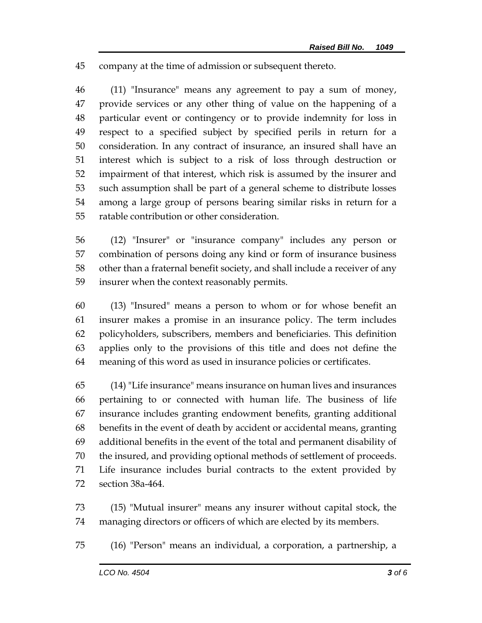company at the time of admission or subsequent thereto.

 (11) "Insurance" means any agreement to pay a sum of money, provide services or any other thing of value on the happening of a particular event or contingency or to provide indemnity for loss in respect to a specified subject by specified perils in return for a consideration. In any contract of insurance, an insured shall have an interest which is subject to a risk of loss through destruction or impairment of that interest, which risk is assumed by the insurer and such assumption shall be part of a general scheme to distribute losses among a large group of persons bearing similar risks in return for a ratable contribution or other consideration.

 (12) "Insurer" or "insurance company" includes any person or combination of persons doing any kind or form of insurance business other than a fraternal benefit society, and shall include a receiver of any insurer when the context reasonably permits.

 (13) "Insured" means a person to whom or for whose benefit an insurer makes a promise in an insurance policy. The term includes policyholders, subscribers, members and beneficiaries. This definition applies only to the provisions of this title and does not define the meaning of this word as used in insurance policies or certificates.

 (14) "Life insurance" means insurance on human lives and insurances pertaining to or connected with human life. The business of life insurance includes granting endowment benefits, granting additional benefits in the event of death by accident or accidental means, granting additional benefits in the event of the total and permanent disability of the insured, and providing optional methods of settlement of proceeds. Life insurance includes burial contracts to the extent provided by section 38a-464.

 (15) "Mutual insurer" means any insurer without capital stock, the managing directors or officers of which are elected by its members.

(16) "Person" means an individual, a corporation, a partnership, a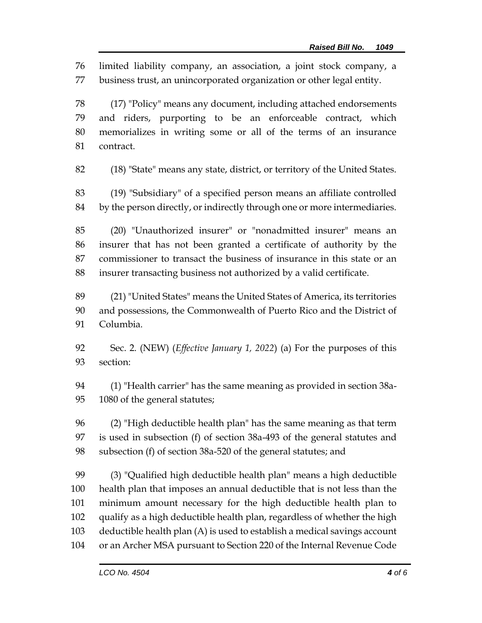limited liability company, an association, a joint stock company, a business trust, an unincorporated organization or other legal entity.

 (17) "Policy" means any document, including attached endorsements and riders, purporting to be an enforceable contract, which memorializes in writing some or all of the terms of an insurance contract.

(18) "State" means any state, district, or territory of the United States.

 (19) "Subsidiary" of a specified person means an affiliate controlled by the person directly, or indirectly through one or more intermediaries.

 (20) "Unauthorized insurer" or "nonadmitted insurer" means an insurer that has not been granted a certificate of authority by the commissioner to transact the business of insurance in this state or an insurer transacting business not authorized by a valid certificate.

 (21) "United States" means the United States of America, its territories and possessions, the Commonwealth of Puerto Rico and the District of Columbia.

 Sec. 2. (NEW) (*Effective January 1, 2022*) (a) For the purposes of this section:

 (1) "Health carrier" has the same meaning as provided in section 38a-1080 of the general statutes;

 (2) "High deductible health plan" has the same meaning as that term is used in subsection (f) of section 38a-493 of the general statutes and subsection (f) of section 38a-520 of the general statutes; and

 (3) "Qualified high deductible health plan" means a high deductible health plan that imposes an annual deductible that is not less than the minimum amount necessary for the high deductible health plan to qualify as a high deductible health plan, regardless of whether the high deductible health plan (A) is used to establish a medical savings account or an Archer MSA pursuant to Section 220 of the Internal Revenue Code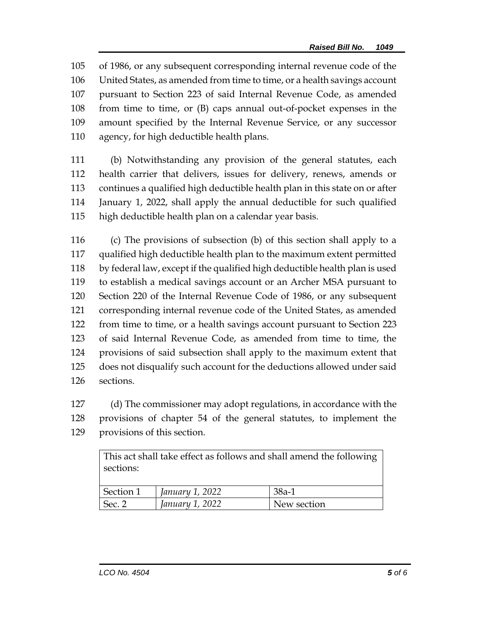of 1986, or any subsequent corresponding internal revenue code of the United States, as amended from time to time, or a health savings account pursuant to Section 223 of said Internal Revenue Code, as amended from time to time, or (B) caps annual out-of-pocket expenses in the amount specified by the Internal Revenue Service, or any successor agency, for high deductible health plans.

 (b) Notwithstanding any provision of the general statutes, each health carrier that delivers, issues for delivery, renews, amends or continues a qualified high deductible health plan in this state on or after January 1, 2022, shall apply the annual deductible for such qualified high deductible health plan on a calendar year basis.

 (c) The provisions of subsection (b) of this section shall apply to a qualified high deductible health plan to the maximum extent permitted by federal law, except if the qualified high deductible health plan is used to establish a medical savings account or an Archer MSA pursuant to Section 220 of the Internal Revenue Code of 1986, or any subsequent corresponding internal revenue code of the United States, as amended from time to time, or a health savings account pursuant to Section 223 of said Internal Revenue Code, as amended from time to time, the provisions of said subsection shall apply to the maximum extent that does not disqualify such account for the deductions allowed under said sections.

 (d) The commissioner may adopt regulations, in accordance with the provisions of chapter 54 of the general statutes, to implement the provisions of this section.

> This act shall take effect as follows and shall amend the following sections:

| Section 1 | January 1, 2022 | $38a-1$     |
|-----------|-----------------|-------------|
| Sec. 2    | January 1, 2022 | New section |